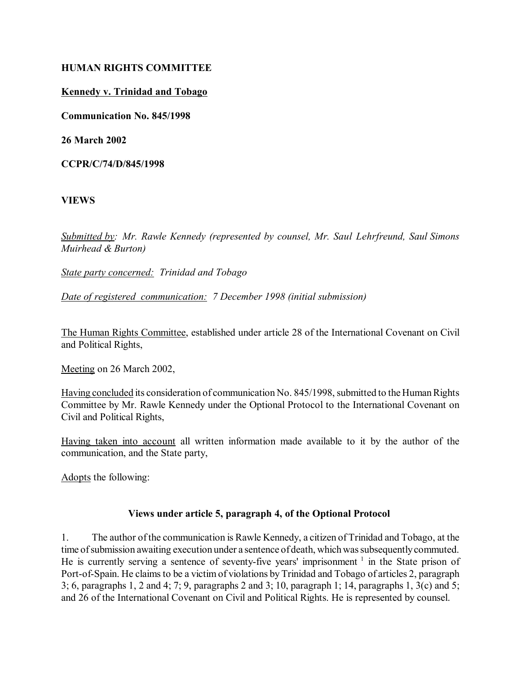### **HUMAN RIGHTS COMMITTEE**

#### **Kennedy v. Trinidad and Tobago**

**Communication No. 845/1998**

**26 March 2002**

**CCPR/C/74/D/845/1998**

#### **VIEWS**

*Submitted by: Mr. Rawle Kennedy (represented by counsel, Mr. Saul Lehrfreund, Saul Simons Muirhead & Burton)*

*State party concerned: Trinidad and Tobago*

*Date of registered communication: 7 December 1998 (initial submission)*

The Human Rights Committee, established under article 28 of the International Covenant on Civil and Political Rights,

Meeting on 26 March 2002,

Having concluded its consideration of communication No. 845/1998, submitted to the Human Rights Committee by Mr. Rawle Kennedy under the Optional Protocol to the International Covenant on Civil and Political Rights,

Having taken into account all written information made available to it by the author of the communication, and the State party,

Adopts the following:

### **Views under article 5, paragraph 4, of the Optional Protocol**

1. The author of the communication is Rawle Kennedy, a citizen of Trinidad and Tobago, at the time of submission awaiting execution under a sentence of death, which was subsequently commuted. He is currently serving a sentence of seventy-five years' imprisonment  $\frac{1}{1}$  in the State prison of Port-of-Spain. He claims to be a victim of violations by Trinidad and Tobago of articles 2, paragraph 3; 6, paragraphs 1, 2 and 4; 7; 9, paragraphs 2 and 3; 10, paragraph 1; 14, paragraphs 1, 3(c) and 5; and 26 of the International Covenant on Civil and Political Rights. He is represented by counsel.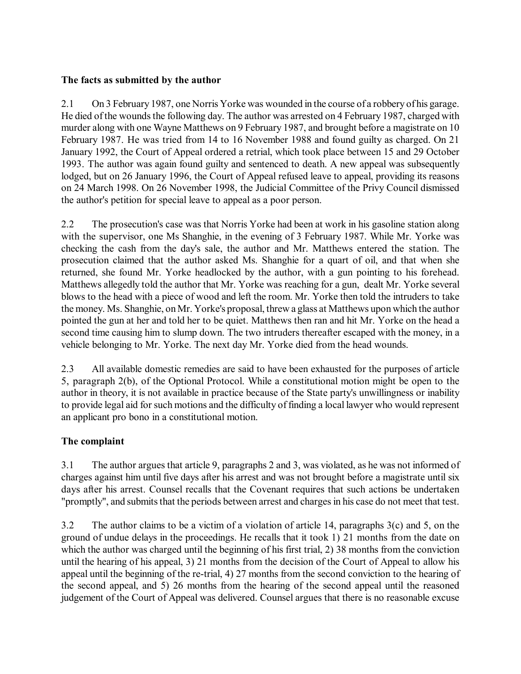## **The facts as submitted by the author**

2.1 On 3 February 1987, one Norris Yorke was wounded in the course of a robbery of his garage. He died of the wounds the following day. The author was arrested on 4 February 1987, charged with murder along with one Wayne Matthews on 9 February 1987, and brought before a magistrate on 10 February 1987. He was tried from 14 to 16 November 1988 and found guilty as charged. On 21 January 1992, the Court of Appeal ordered a retrial, which took place between 15 and 29 October 1993. The author was again found guilty and sentenced to death. A new appeal was subsequently lodged, but on 26 January 1996, the Court of Appeal refused leave to appeal, providing its reasons on 24 March 1998. On 26 November 1998, the Judicial Committee of the Privy Council dismissed the author's petition for special leave to appeal as a poor person.

2.2 The prosecution's case was that Norris Yorke had been at work in his gasoline station along with the supervisor, one Ms Shanghie, in the evening of 3 February 1987. While Mr. Yorke was checking the cash from the day's sale, the author and Mr. Matthews entered the station. The prosecution claimed that the author asked Ms. Shanghie for a quart of oil, and that when she returned, she found Mr. Yorke headlocked by the author, with a gun pointing to his forehead. Matthews allegedly told the author that Mr. Yorke was reaching for a gun, dealt Mr. Yorke several blows to the head with a piece of wood and left the room. Mr. Yorke then told the intruders to take the money. Ms. Shanghie, on Mr. Yorke's proposal, threw a glass at Matthews upon which the author pointed the gun at her and told her to be quiet. Matthews then ran and hit Mr. Yorke on the head a second time causing him to slump down. The two intruders thereafter escaped with the money, in a vehicle belonging to Mr. Yorke. The next day Mr. Yorke died from the head wounds.

2.3 All available domestic remedies are said to have been exhausted for the purposes of article 5, paragraph 2(b), of the Optional Protocol. While a constitutional motion might be open to the author in theory, it is not available in practice because of the State party's unwillingness or inability to provide legal aid for such motions and the difficulty of finding a local lawyer who would represent an applicant pro bono in a constitutional motion.

# **The complaint**

3.1 The author argues that article 9, paragraphs 2 and 3, was violated, as he was not informed of charges against him until five days after his arrest and was not brought before a magistrate until six days after his arrest. Counsel recalls that the Covenant requires that such actions be undertaken "promptly", and submits that the periods between arrest and charges in his case do not meet that test.

3.2 The author claims to be a victim of a violation of article 14, paragraphs 3(c) and 5, on the ground of undue delays in the proceedings. He recalls that it took 1) 21 months from the date on which the author was charged until the beginning of his first trial, 2) 38 months from the conviction until the hearing of his appeal, 3) 21 months from the decision of the Court of Appeal to allow his appeal until the beginning of the re-trial, 4) 27 months from the second conviction to the hearing of the second appeal, and 5) 26 months from the hearing of the second appeal until the reasoned judgement of the Court of Appeal was delivered. Counsel argues that there is no reasonable excuse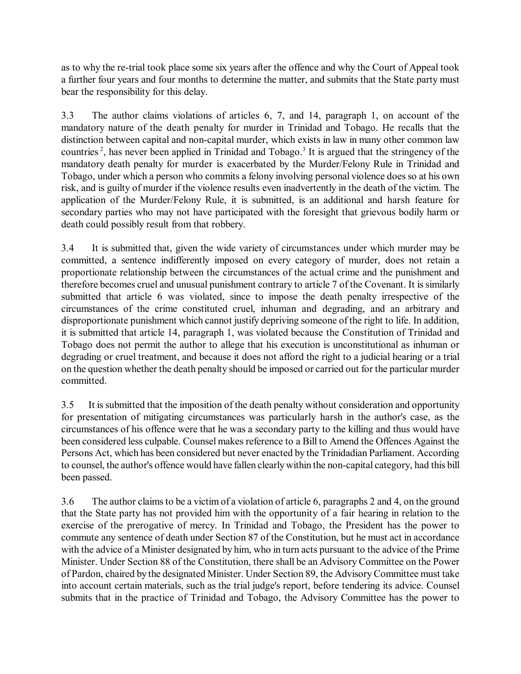as to why the re-trial took place some six years after the offence and why the Court of Appeal took a further four years and four months to determine the matter, and submits that the State party must bear the responsibility for this delay.

3.3 The author claims violations of articles 6, 7, and 14, paragraph 1, on account of the mandatory nature of the death penalty for murder in Trinidad and Tobago. He recalls that the distinction between capital and non-capital murder, which exists in law in many other common law countries<sup>2</sup>, has never been applied in Trinidad and Tobago.<sup>3</sup> It is argued that the stringency of the mandatory death penalty for murder is exacerbated by the Murder/Felony Rule in Trinidad and Tobago, under which a person who commits a felony involving personal violence does so at his own risk, and is guilty of murder if the violence results even inadvertently in the death of the victim. The application of the Murder/Felony Rule, it is submitted, is an additional and harsh feature for secondary parties who may not have participated with the foresight that grievous bodily harm or death could possibly result from that robbery.

3.4 It is submitted that, given the wide variety of circumstances under which murder may be committed, a sentence indifferently imposed on every category of murder, does not retain a proportionate relationship between the circumstances of the actual crime and the punishment and therefore becomes cruel and unusual punishment contrary to article 7 of the Covenant. It is similarly submitted that article 6 was violated, since to impose the death penalty irrespective of the circumstances of the crime constituted cruel, inhuman and degrading, and an arbitrary and disproportionate punishment which cannot justify depriving someone of the right to life. In addition, it is submitted that article 14, paragraph 1, was violated because the Constitution of Trinidad and Tobago does not permit the author to allege that his execution is unconstitutional as inhuman or degrading or cruel treatment, and because it does not afford the right to a judicial hearing or a trial on the question whether the death penalty should be imposed or carried out for the particular murder committed.

3.5 It is submitted that the imposition of the death penalty without consideration and opportunity for presentation of mitigating circumstances was particularly harsh in the author's case, as the circumstances of his offence were that he was a secondary party to the killing and thus would have been considered less culpable. Counsel makes reference to a Bill to Amend the Offences Against the Persons Act, which has been considered but never enacted by the Trinidadian Parliament. According to counsel, the author's offence would have fallen clearly within the non-capital category, had this bill been passed.

3.6 The author claims to be a victim of a violation of article 6, paragraphs 2 and 4, on the ground that the State party has not provided him with the opportunity of a fair hearing in relation to the exercise of the prerogative of mercy. In Trinidad and Tobago, the President has the power to commute any sentence of death under Section 87 of the Constitution, but he must act in accordance with the advice of a Minister designated by him, who in turn acts pursuant to the advice of the Prime Minister. Under Section 88 of the Constitution, there shall be an Advisory Committee on the Power of Pardon, chaired by the designated Minister. Under Section 89, the Advisory Committee must take into account certain materials, such as the trial judge's report, before tendering its advice. Counsel submits that in the practice of Trinidad and Tobago, the Advisory Committee has the power to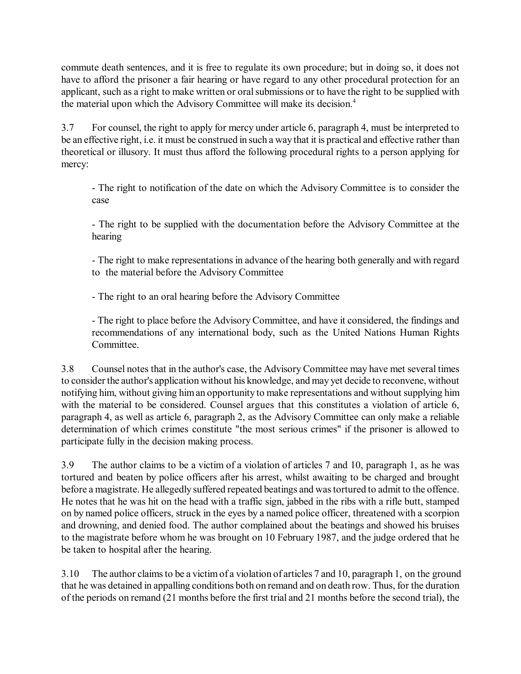commute death sentences, and it is free to regulate its own procedure; but in doing so, it does not have to afford the prisoner a fair hearing or have regard to any other procedural protection for an applicant, such as a right to make written or oral submissions or to have the right to be supplied with the material upon which the Advisory Committee will make its decision.<sup>4</sup>

3.7 For counsel, the right to apply for mercy under article 6, paragraph 4, must be interpreted to be an effective right, i.e. it must be construed in such a way that it is practical and effective rather than theoretical or illusory. It must thus afford the following procedural rights to a person applying for mercy:

- The right to notification of the date on which the Advisory Committee is to consider the case

- The right to be supplied with the documentation before the Advisory Committee at the hearing

- The right to make representations in advance of the hearing both generally and with regard to the material before the Advisory Committee

- The right to an oral hearing before the Advisory Committee

- The right to place before the Advisory Committee, and have it considered, the findings and recommendations of any international body, such as the United Nations Human Rights Committee.

3.8 Counsel notes that in the author's case, the Advisory Committee may have met several times to consider the author's application without his knowledge, and may yet decide to reconvene, without notifying him, without giving him an opportunity to make representations and without supplying him with the material to be considered. Counsel argues that this constitutes a violation of article 6, paragraph 4, as well as article 6, paragraph 2, as the Advisory Committee can only make a reliable determination of which crimes constitute "the most serious crimes" if the prisoner is allowed to participate fully in the decision making process.

3.9 The author claims to be a victim of a violation of articles 7 and 10, paragraph 1, as he was tortured and beaten by police officers after his arrest, whilst awaiting to be charged and brought before a magistrate. He allegedly suffered repeated beatings and was tortured to admit to the offence. He notes that he was hit on the head with a traffic sign, jabbed in the ribs with a rifle butt, stamped on by named police officers, struck in the eyes by a named police officer, threatened with a scorpion and drowning, and denied food. The author complained about the beatings and showed his bruises to the magistrate before whom he was brought on 10 February 1987, and the judge ordered that he be taken to hospital after the hearing.

3.10 The author claims to be a victim of a violation of articles 7 and 10, paragraph 1, on the ground that he was detained in appalling conditions both on remand and on death row. Thus, for the duration of the periods on remand (21 months before the first trial and 21 months before the second trial), the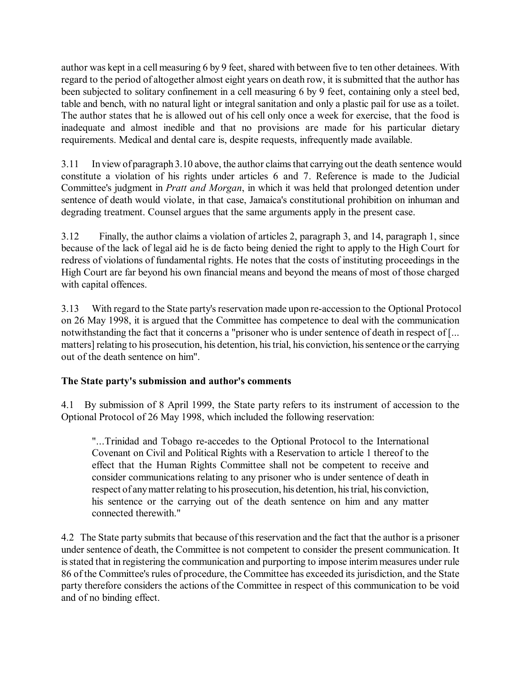author was kept in a cell measuring 6 by 9 feet, shared with between five to ten other detainees. With regard to the period of altogether almost eight years on death row, it is submitted that the author has been subjected to solitary confinement in a cell measuring 6 by 9 feet, containing only a steel bed, table and bench, with no natural light or integral sanitation and only a plastic pail for use as a toilet. The author states that he is allowed out of his cell only once a week for exercise, that the food is inadequate and almost inedible and that no provisions are made for his particular dietary requirements. Medical and dental care is, despite requests, infrequently made available.

3.11 In view of paragraph 3.10 above, the author claims that carrying out the death sentence would constitute a violation of his rights under articles 6 and 7. Reference is made to the Judicial Committee's judgment in *Pratt and Morgan*, in which it was held that prolonged detention under sentence of death would violate, in that case, Jamaica's constitutional prohibition on inhuman and degrading treatment. Counsel argues that the same arguments apply in the present case.

3.12 Finally, the author claims a violation of articles 2, paragraph 3, and 14, paragraph 1, since because of the lack of legal aid he is de facto being denied the right to apply to the High Court for redress of violations of fundamental rights. He notes that the costs of instituting proceedings in the High Court are far beyond his own financial means and beyond the means of most of those charged with capital offences.

3.13 With regard to the State party's reservation made upon re-accession to the Optional Protocol on 26 May 1998, it is argued that the Committee has competence to deal with the communication notwithstanding the fact that it concerns a "prisoner who is under sentence of death in respect of [... matters] relating to his prosecution, his detention, his trial, his conviction, his sentence or the carrying out of the death sentence on him".

# **The State party's submission and author's comments**

4.1 By submission of 8 April 1999, the State party refers to its instrument of accession to the Optional Protocol of 26 May 1998, which included the following reservation:

"...Trinidad and Tobago re-accedes to the Optional Protocol to the International Covenant on Civil and Political Rights with a Reservation to article 1 thereof to the effect that the Human Rights Committee shall not be competent to receive and consider communications relating to any prisoner who is under sentence of death in respect of any matter relating to his prosecution, his detention, his trial, his conviction, his sentence or the carrying out of the death sentence on him and any matter connected therewith."

4.2 The State party submits that because of this reservation and the fact that the author is a prisoner under sentence of death, the Committee is not competent to consider the present communication. It is stated that in registering the communication and purporting to impose interim measures under rule 86 of the Committee's rules of procedure, the Committee has exceeded its jurisdiction, and the State party therefore considers the actions of the Committee in respect of this communication to be void and of no binding effect.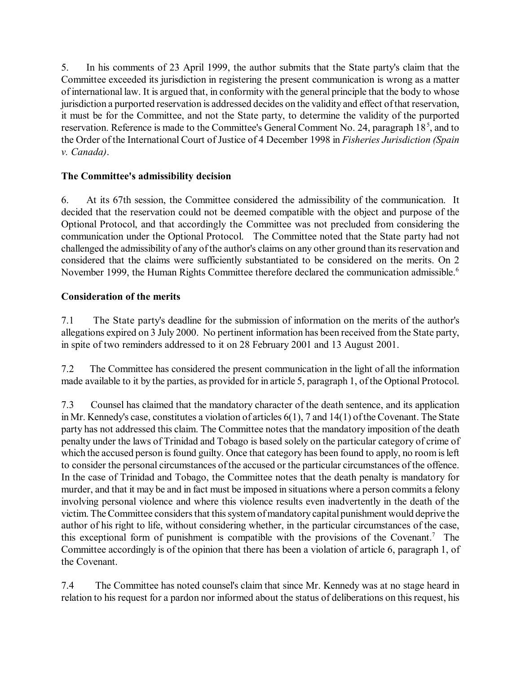5. In his comments of 23 April 1999, the author submits that the State party's claim that the Committee exceeded its jurisdiction in registering the present communication is wrong as a matter of international law. It is argued that, in conformity with the general principle that the body to whose jurisdiction a purported reservation is addressed decides on the validity and effect of that reservation, it must be for the Committee, and not the State party, to determine the validity of the purported reservation. Reference is made to the Committee's General Comment No. 24, paragraph 18<sup>5</sup>, and to the Order of the International Court of Justice of 4 December 1998 in *Fisheries Jurisdiction (Spain v. Canada)*.

# **The Committee's admissibility decision**

6. At its 67th session, the Committee considered the admissibility of the communication. It decided that the reservation could not be deemed compatible with the object and purpose of the Optional Protocol, and that accordingly the Committee was not precluded from considering the communication under the Optional Protocol. The Committee noted that the State party had not challenged the admissibility of any of the author's claims on any other ground than its reservation and considered that the claims were sufficiently substantiated to be considered on the merits. On 2 November 1999, the Human Rights Committee therefore declared the communication admissible.<sup>6</sup>

## **Consideration of the merits**

7.1 The State party's deadline for the submission of information on the merits of the author's allegations expired on 3 July 2000. No pertinent information has been received from the State party, in spite of two reminders addressed to it on 28 February 2001 and 13 August 2001.

7.2 The Committee has considered the present communication in the light of all the information made available to it by the parties, as provided for in article 5, paragraph 1, of the Optional Protocol.

7.3 Counsel has claimed that the mandatory character of the death sentence, and its application in Mr. Kennedy's case, constitutes a violation of articles 6(1), 7 and 14(1) of the Covenant. The State party has not addressed this claim. The Committee notes that the mandatory imposition of the death penalty under the laws of Trinidad and Tobago is based solely on the particular category of crime of which the accused person is found guilty. Once that category has been found to apply, no room is left to consider the personal circumstances of the accused or the particular circumstances of the offence. In the case of Trinidad and Tobago, the Committee notes that the death penalty is mandatory for murder, and that it may be and in fact must be imposed in situations where a person commits a felony involving personal violence and where this violence results even inadvertently in the death of the victim. The Committee considers that this system of mandatory capital punishment would deprive the author of his right to life, without considering whether, in the particular circumstances of the case, this exceptional form of punishment is compatible with the provisions of the Covenant.<sup>7</sup> The Committee accordingly is of the opinion that there has been a violation of article 6, paragraph 1, of the Covenant.

7.4 The Committee has noted counsel's claim that since Mr. Kennedy was at no stage heard in relation to his request for a pardon nor informed about the status of deliberations on this request, his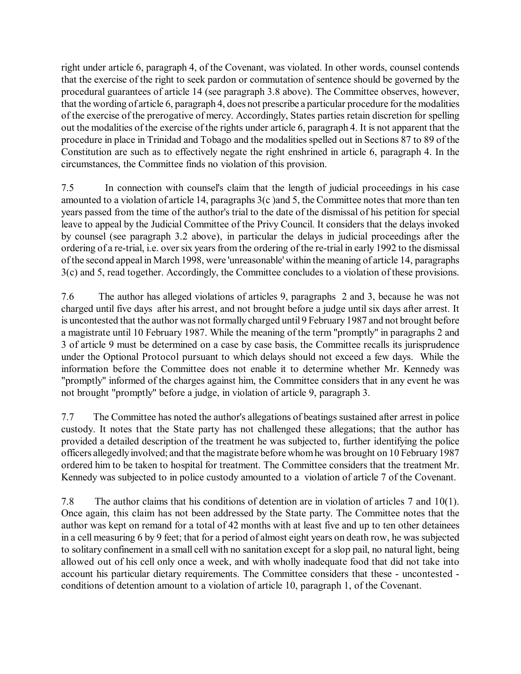right under article 6, paragraph 4, of the Covenant, was violated. In other words, counsel contends that the exercise of the right to seek pardon or commutation of sentence should be governed by the procedural guarantees of article 14 (see paragraph 3.8 above). The Committee observes, however, that the wording of article 6, paragraph 4, does not prescribe a particular procedure for the modalities of the exercise of the prerogative of mercy. Accordingly, States parties retain discretion for spelling out the modalities of the exercise of the rights under article 6, paragraph 4. It is not apparent that the procedure in place in Trinidad and Tobago and the modalities spelled out in Sections 87 to 89 of the Constitution are such as to effectively negate the right enshrined in article 6, paragraph 4. In the circumstances, the Committee finds no violation of this provision.

7.5 In connection with counsel's claim that the length of judicial proceedings in his case amounted to a violation of article 14, paragraphs 3(c )and 5, the Committee notes that more than ten years passed from the time of the author's trial to the date of the dismissal of his petition for special leave to appeal by the Judicial Committee of the Privy Council. It considers that the delays invoked by counsel (see paragraph 3.2 above), in particular the delays in judicial proceedings after the ordering of a re-trial, i.e. over six years from the ordering of the re-trial in early 1992 to the dismissal of the second appeal in March 1998, were 'unreasonable' within the meaning of article 14, paragraphs 3(c) and 5, read together. Accordingly, the Committee concludes to a violation of these provisions.

7.6 The author has alleged violations of articles 9, paragraphs 2 and 3, because he was not charged until five days after his arrest, and not brought before a judge until six days after arrest. It is uncontested that the author was not formally charged until 9 February 1987 and not brought before a magistrate until 10 February 1987. While the meaning of the term "promptly" in paragraphs 2 and 3 of article 9 must be determined on a case by case basis, the Committee recalls its jurisprudence under the Optional Protocol pursuant to which delays should not exceed a few days. While the information before the Committee does not enable it to determine whether Mr. Kennedy was "promptly" informed of the charges against him, the Committee considers that in any event he was not brought "promptly" before a judge, in violation of article 9, paragraph 3.

7.7 The Committee has noted the author's allegations of beatings sustained after arrest in police custody. It notes that the State party has not challenged these allegations; that the author has provided a detailed description of the treatment he was subjected to, further identifying the police officers allegedly involved; and that the magistrate before whom he was brought on 10 February 1987 ordered him to be taken to hospital for treatment. The Committee considers that the treatment Mr. Kennedy was subjected to in police custody amounted to a violation of article 7 of the Covenant.

7.8 The author claims that his conditions of detention are in violation of articles 7 and 10(1). Once again, this claim has not been addressed by the State party. The Committee notes that the author was kept on remand for a total of 42 months with at least five and up to ten other detainees in a cell measuring 6 by 9 feet; that for a period of almost eight years on death row, he was subjected to solitary confinement in a small cell with no sanitation except for a slop pail, no natural light, being allowed out of his cell only once a week, and with wholly inadequate food that did not take into account his particular dietary requirements. The Committee considers that these - uncontested conditions of detention amount to a violation of article 10, paragraph 1, of the Covenant.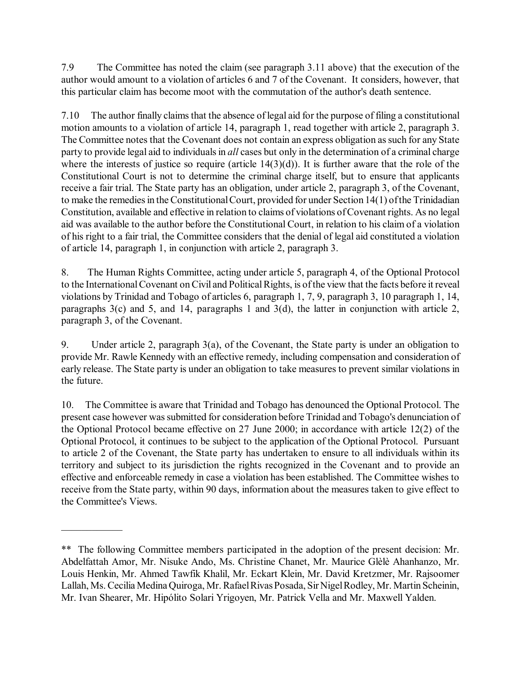7.9 The Committee has noted the claim (see paragraph 3.11 above) that the execution of the author would amount to a violation of articles 6 and 7 of the Covenant. It considers, however, that this particular claim has become moot with the commutation of the author's death sentence.

7.10 The author finally claims that the absence of legal aid for the purpose of filing a constitutional motion amounts to a violation of article 14, paragraph 1, read together with article 2, paragraph 3. The Committee notes that the Covenant does not contain an express obligation as such for any State party to provide legal aid to individuals in *all* cases but only in the determination of a criminal charge where the interests of justice so require (article  $14(3)(d)$ ). It is further aware that the role of the Constitutional Court is not to determine the criminal charge itself, but to ensure that applicants receive a fair trial. The State party has an obligation, under article 2, paragraph 3, of the Covenant, to make the remedies in the Constitutional Court, provided for under Section 14(1) of the Trinidadian Constitution, available and effective in relation to claims of violations of Covenant rights. As no legal aid was available to the author before the Constitutional Court, in relation to his claim of a violation of his right to a fair trial, the Committee considers that the denial of legal aid constituted a violation of article 14, paragraph 1, in conjunction with article 2, paragraph 3.

8. The Human Rights Committee, acting under article 5, paragraph 4, of the Optional Protocol to the International Covenant on Civil and Political Rights, is of the view that the facts before it reveal violations by Trinidad and Tobago of articles 6, paragraph 1, 7, 9, paragraph 3, 10 paragraph 1, 14, paragraphs 3(c) and 5, and 14, paragraphs 1 and 3(d), the latter in conjunction with article 2, paragraph 3, of the Covenant.

9. Under article 2, paragraph 3(a), of the Covenant, the State party is under an obligation to provide Mr. Rawle Kennedy with an effective remedy, including compensation and consideration of early release. The State party is under an obligation to take measures to prevent similar violations in the future.

10. The Committee is aware that Trinidad and Tobago has denounced the Optional Protocol. The present case however was submitted for consideration before Trinidad and Tobago's denunciation of the Optional Protocol became effective on 27 June 2000; in accordance with article 12(2) of the Optional Protocol, it continues to be subject to the application of the Optional Protocol. Pursuant to article 2 of the Covenant, the State party has undertaken to ensure to all individuals within its territory and subject to its jurisdiction the rights recognized in the Covenant and to provide an effective and enforceable remedy in case a violation has been established. The Committee wishes to receive from the State party, within 90 days, information about the measures taken to give effect to the Committee's Views.

 $\mathcal{L}_\text{max}$ 

<sup>\*\*</sup> The following Committee members participated in the adoption of the present decision: Mr. Abdelfattah Amor, Mr. Nisuke Ando, Ms. Christine Chanet, Mr. Maurice Glèlè Ahanhanzo, Mr. Louis Henkin, Mr. Ahmed Tawfik Khalil, Mr. Eckart Klein, Mr. David Kretzmer, Mr. Rajsoomer Lallah, Ms. Cecilia Medina Quiroga, Mr. Rafael Rivas Posada, Sir Nigel Rodley, Mr. Martin Scheinin, Mr. Ivan Shearer, Mr. Hipólito Solari Yrigoyen, Mr. Patrick Vella and Mr. Maxwell Yalden.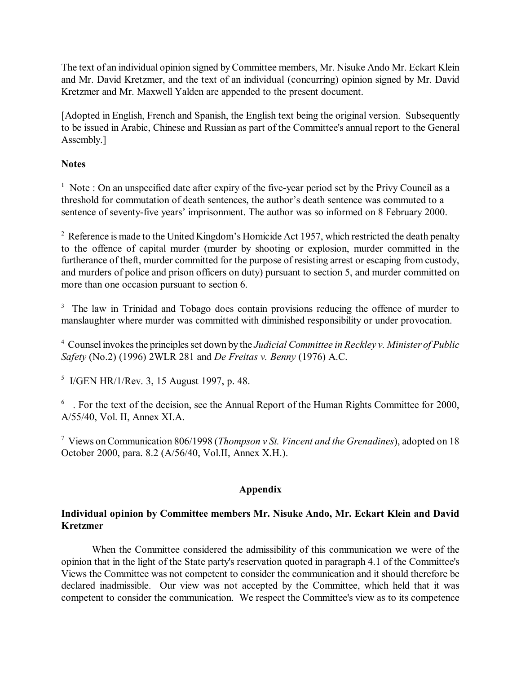The text of an individual opinion signed by Committee members, Mr. Nisuke Ando Mr. Eckart Klein and Mr. David Kretzmer, and the text of an individual (concurring) opinion signed by Mr. David Kretzmer and Mr. Maxwell Yalden are appended to the present document.

[Adopted in English, French and Spanish, the English text being the original version. Subsequently to be issued in Arabic, Chinese and Russian as part of the Committee's annual report to the General Assembly.]

## **Notes**

<sup>1</sup> Note : On an unspecified date after expiry of the five-year period set by the Privy Council as a threshold for commutation of death sentences, the author's death sentence was commuted to a sentence of seventy-five years' imprisonment. The author was so informed on 8 February 2000.

<sup>2</sup> Reference is made to the United Kingdom's Homicide Act 1957, which restricted the death penalty to the offence of capital murder (murder by shooting or explosion, murder committed in the furtherance of theft, murder committed for the purpose of resisting arrest or escaping from custody, and murders of police and prison officers on duty) pursuant to section 5, and murder committed on more than one occasion pursuant to section 6.

<sup>3</sup> The law in Trinidad and Tobago does contain provisions reducing the offence of murder to manslaughter where murder was committed with diminished responsibility or under provocation.

4 Counsel invokes the principles set down by the *Judicial Committee in Reckley v. Minister of Public Safety* (No.2) (1996) 2WLR 281 and *De Freitas v. Benny* (1976) A.C.

5 I/GEN HR/1/Rev. 3, 15 August 1997, p. 48.

 $6\degree$ . For the text of the decision, see the Annual Report of the Human Rights Committee for 2000, A/55/40, Vol. II, Annex XI.A.

7 Views on Communication 806/1998 (*Thompson v St. Vincent and the Grenadines*), adopted on 18 October 2000, para. 8.2 (A/56/40, Vol.II, Annex X.H.).

# **Appendix**

### **Individual opinion by Committee members Mr. Nisuke Ando, Mr. Eckart Klein and David Kretzmer**

When the Committee considered the admissibility of this communication we were of the opinion that in the light of the State party's reservation quoted in paragraph 4.1 of the Committee's Views the Committee was not competent to consider the communication and it should therefore be declared inadmissible. Our view was not accepted by the Committee, which held that it was competent to consider the communication. We respect the Committee's view as to its competence